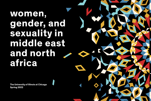# **women**, **gender, and sexuality in middle east and north africa**

**The University of Illinois at Chicago Spring 2022**